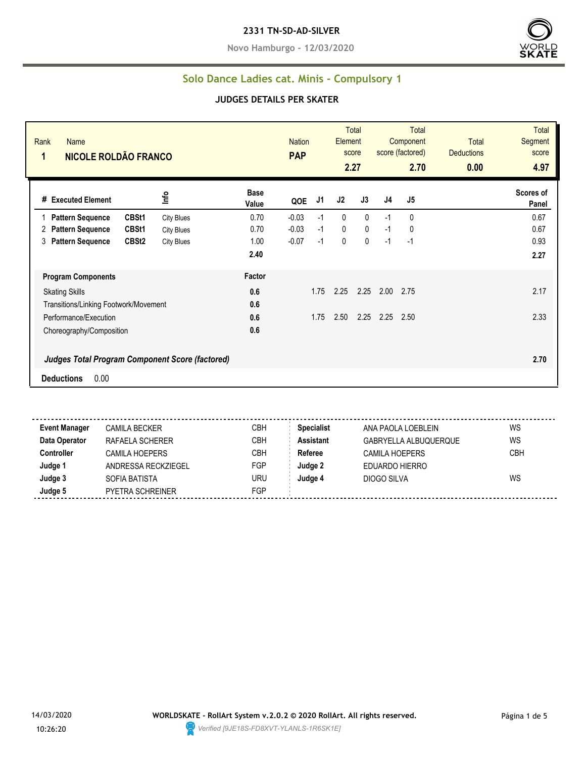**Novo Hamburgo - 12/03/2020**



#### **Solo Dance Ladies cat. Minis - Compulsory 1**

#### **JUDGES DETAILS PER SKATER**

| Rank<br><b>Name</b><br>NICOLE ROLDÃO FRANCO<br>1       |                   |                      | <b>Nation</b><br><b>PAP</b> |      | Element      | Total<br>score<br>2.27 |      | <b>Total</b><br>Component<br>score (factored)<br>2.70 | <b>Total</b><br><b>Deductions</b><br>0.00 | <b>Total</b><br>Segment<br>score<br>4.97 |
|--------------------------------------------------------|-------------------|----------------------|-----------------------------|------|--------------|------------------------|------|-------------------------------------------------------|-------------------------------------------|------------------------------------------|
| # Executed Element                                     | Info              | <b>Base</b><br>Value | QOE                         | J1   | J2           | J3                     | J4   | J5                                                    |                                           | Scores of<br>Panel                       |
| CBSt1<br><b>Pattern Sequence</b>                       | <b>City Blues</b> | 0.70                 | $-0.03$                     | $-1$ | $\mathbf{0}$ | $\mathbf{0}$           | $-1$ | 0                                                     |                                           | 0.67                                     |
| CBSt1<br><b>Pattern Sequence</b><br>2                  | <b>City Blues</b> | 0.70                 | $-0.03$                     | $-1$ | $\pmb{0}$    | 0                      | $-1$ | 0                                                     |                                           | 0.67                                     |
| CBSt <sub>2</sub><br><b>Pattern Sequence</b><br>3      | <b>City Blues</b> | 1.00                 | $-0.07$                     | $-1$ | 0            | 0                      | $-1$ | $-1$                                                  |                                           | 0.93                                     |
|                                                        |                   | 2.40                 |                             |      |              |                        |      |                                                       |                                           | 2.27                                     |
| <b>Program Components</b>                              |                   | Factor               |                             |      |              |                        |      |                                                       |                                           |                                          |
| <b>Skating Skills</b>                                  |                   | 0.6                  |                             | 1.75 | 2.25         | 2.25                   | 2.00 | 2.75                                                  |                                           | 2.17                                     |
| Transitions/Linking Footwork/Movement                  |                   | 0.6                  |                             |      |              |                        |      |                                                       |                                           |                                          |
| Performance/Execution                                  |                   | 0.6                  |                             | 1.75 | 2.50         | 2.25                   | 2.25 | 2.50                                                  |                                           | 2.33                                     |
| Choreography/Composition                               |                   | 0.6                  |                             |      |              |                        |      |                                                       |                                           |                                          |
| <b>Judges Total Program Component Score (factored)</b> |                   |                      |                             |      |              |                        |      |                                                       |                                           | 2.70                                     |
| 0.00<br><b>Deductions</b>                              |                   |                      |                             |      |              |                        |      |                                                       |                                           |                                          |

 $\sim$   $\sim$   $\sim$ **Event Manager** CAMILA BECKER CBH **Specialist** ANA PAOLA LOEBLEIN WS **Data Operator** RAFAELA SCHERER CBH **Assistant** GABRYELLA ALBUQUERQUE WS **Controller** CAMILA HOEPERS CBH **Referee** CAMILA HOEPERS CBH **Judge 1** ANDRESSA RECKZIEGEL FGP **Judge 2** EDUARDO HIERRO **Judge 3** SOFIA BATISTA URU **Judge 4** DIOGO SILVA WS **Judge 5** PYETRA SCHREINER FGP

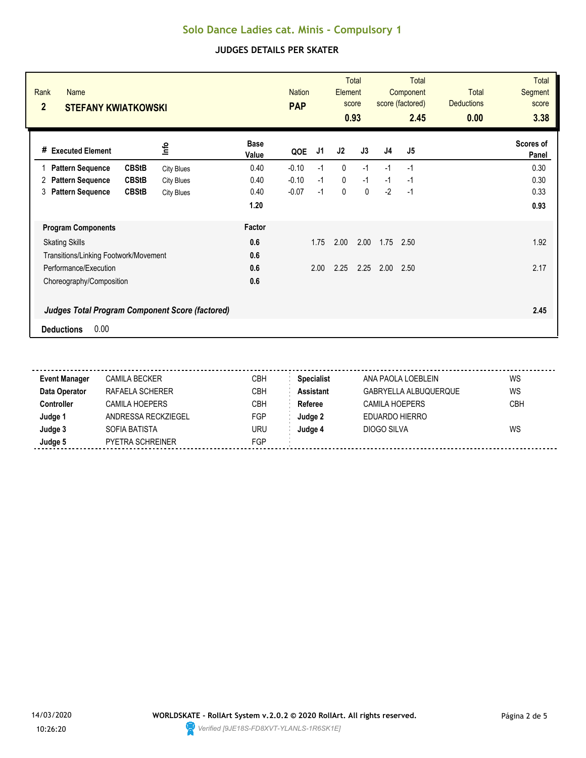| Rank<br>Name<br>$\overline{2}$<br><b>STEFANY KWIATKOWSKI</b> |                   |                      | <b>Nation</b><br><b>PAP</b> |      | Element     | <b>Total</b><br>score<br>0.93 |                | <b>Total</b><br>Component<br>score (factored)<br>2.45 | Total<br><b>Deductions</b><br>0.00 | <b>Total</b><br><b>Segment</b><br>score<br>3.38 |
|--------------------------------------------------------------|-------------------|----------------------|-----------------------------|------|-------------|-------------------------------|----------------|-------------------------------------------------------|------------------------------------|-------------------------------------------------|
| <b>Executed Element</b><br>#                                 | lnfo              | <b>Base</b><br>Value | QOE                         | J1   | J2          | J3                            | J <sub>4</sub> | J5                                                    |                                    | Scores of<br>Panel                              |
| <b>Pattern Sequence</b><br><b>CBStB</b>                      | <b>City Blues</b> | 0.40                 | $-0.10$                     | $-1$ | $\mathbf 0$ | $-1$                          | $-1$           | $-1$                                                  |                                    | 0.30                                            |
| <b>CBStB</b><br><b>Pattern Sequence</b><br>2                 | <b>City Blues</b> | 0.40                 | $-0.10$                     | $-1$ | 0           | $-1$                          | $-1$           | $-1$                                                  |                                    | 0.30                                            |
| <b>Pattern Sequence</b><br><b>CBStB</b><br>3                 | <b>City Blues</b> | 0.40                 | $-0.07$                     | $-1$ | $\pmb{0}$   | $\mathbf 0$                   | $-2$           | $-1$                                                  |                                    | 0.33                                            |
|                                                              |                   | 1.20                 |                             |      |             |                               |                |                                                       |                                    | 0.93                                            |
| <b>Program Components</b>                                    |                   | Factor               |                             |      |             |                               |                |                                                       |                                    |                                                 |
| <b>Skating Skills</b>                                        |                   | 0.6                  |                             | 1.75 | 2.00        | 2.00                          | 1.75           | 2.50                                                  |                                    | 1.92                                            |
| Transitions/Linking Footwork/Movement                        |                   | 0.6                  |                             |      |             |                               |                |                                                       |                                    |                                                 |
| Performance/Execution                                        |                   | 0.6                  |                             | 2.00 | 2.25        | 2.25                          | 2.00           | 2.50                                                  |                                    | 2.17                                            |
| Choreography/Composition                                     |                   | 0.6                  |                             |      |             |                               |                |                                                       |                                    |                                                 |
| <b>Judges Total Program Component Score (factored)</b>       |                   |                      |                             |      |             |                               |                |                                                       |                                    | 2.45                                            |
| 0.00<br><b>Deductions</b>                                    |                   |                      |                             |      |             |                               |                |                                                       |                                    |                                                 |

| <b>Event Manager</b> | <b>CAMILA BECKER</b>  | CBH        | <b>Specialist</b> | ANA PAOLA LOEBLEIN    | WS  |
|----------------------|-----------------------|------------|-------------------|-----------------------|-----|
| Data Operator        | RAFAELA SCHERER       | <b>CBH</b> | <b>Assistant</b>  | GABRYELLA ALBUQUERQUE | WS  |
| <b>Controller</b>    | <b>CAMILA HOEPERS</b> | CBH        | Referee           | CAMILA HOEPERS        | CBH |
| Judge 1              | ANDRESSA RECKZIEGEL   | FGP        | Judge 2           | EDUARDO HIERRO        |     |
| Judge 3              | SOFIA BATISTA         | uru        | Judge 4           | DIOGO SILVA           | WS  |
| Judge 5              | PYETRA SCHREINER      | FGP        |                   |                       |     |
|                      |                       |            |                   |                       |     |

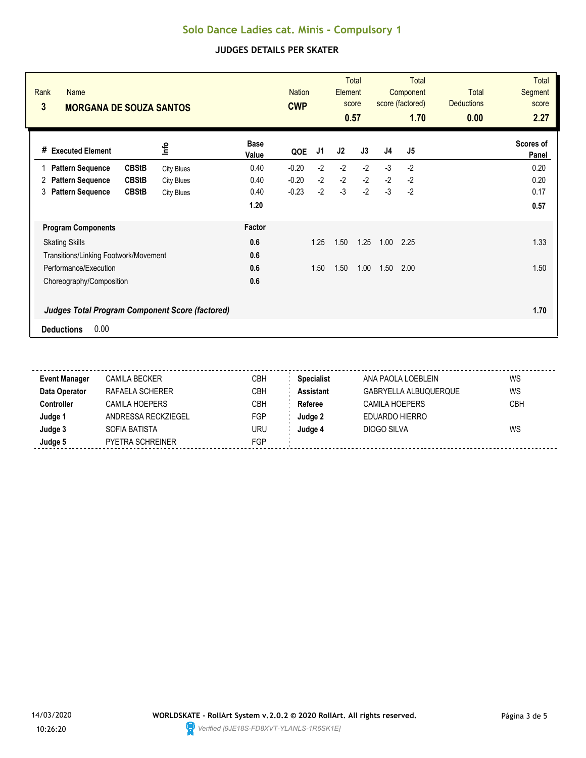| Rank<br><b>Name</b><br>3<br><b>MORGANA DE SOUZA SANTOS</b> |                   |                      | <b>Nation</b><br><b>CWP</b> |      | Element | <b>Total</b><br>score<br>0.57 |      | <b>Total</b><br>Component<br>score (factored)<br>1.70 | <b>Total</b><br><b>Deductions</b><br>0.00 | <b>Total</b><br>Segment<br>score<br>2.27 |
|------------------------------------------------------------|-------------------|----------------------|-----------------------------|------|---------|-------------------------------|------|-------------------------------------------------------|-------------------------------------------|------------------------------------------|
| <b>Executed Element</b><br>#                               | lnfo              | <b>Base</b><br>Value | QOE                         | J1   | J2      | J3                            | J4   | J5                                                    |                                           | Scores of<br>Panel                       |
| <b>CBStB</b><br><b>Pattern Sequence</b>                    | <b>City Blues</b> | 0.40                 | $-0.20$                     | $-2$ | $-2$    | $-2$                          | $-3$ | $-2$                                                  |                                           | 0.20                                     |
| <b>CBStB</b><br><b>Pattern Sequence</b><br>2               | <b>City Blues</b> | 0.40                 | $-0.20$                     | $-2$ | $-2$    | $-2$                          | $-2$ | $-2$                                                  |                                           | 0.20                                     |
| <b>Pattern Sequence</b><br><b>CBStB</b><br>3               | <b>City Blues</b> | 0.40                 | $-0.23$                     | $-2$ | $-3$    | $-2$                          | $-3$ | $-2$                                                  |                                           | 0.17                                     |
|                                                            |                   | 1.20                 |                             |      |         |                               |      |                                                       |                                           | 0.57                                     |
| <b>Program Components</b>                                  |                   | <b>Factor</b>        |                             |      |         |                               |      |                                                       |                                           |                                          |
| <b>Skating Skills</b>                                      |                   | 0.6                  |                             | 1.25 | 1.50    | 1.25                          | 1.00 | 2.25                                                  |                                           | 1.33                                     |
| Transitions/Linking Footwork/Movement                      |                   | 0.6                  |                             |      |         |                               |      |                                                       |                                           |                                          |
| Performance/Execution                                      |                   | 0.6                  |                             | 1.50 | 1.50    | 1.00                          | 1.50 | 2.00                                                  |                                           | 1.50                                     |
| Choreography/Composition                                   |                   | 0.6                  |                             |      |         |                               |      |                                                       |                                           |                                          |
| <b>Judges Total Program Component Score (factored)</b>     |                   |                      |                             |      |         |                               |      |                                                       |                                           | 1.70                                     |
| 0.00<br><b>Deductions</b>                                  |                   |                      |                             |      |         |                               |      |                                                       |                                           |                                          |

| <b>Event Manager</b> | <b>CAMILA BECKER</b>  | CBH        | <b>Specialist</b> | ANA PAOLA LOEBLEIN    | WS  |
|----------------------|-----------------------|------------|-------------------|-----------------------|-----|
| Data Operator        | RAFAELA SCHERER       | <b>CBH</b> | <b>Assistant</b>  | GABRYELLA ALBUQUERQUE | WS  |
| <b>Controller</b>    | <b>CAMILA HOEPERS</b> | CBH        | Referee           | CAMILA HOEPERS        | CBH |
| Judge 1              | ANDRESSA RECKZIEGEL   | FGP        | Judge 2           | EDUARDO HIERRO        |     |
| Judge 3              | SOFIA BATISTA         | uru        | Judge 4           | DIOGO SILVA           | WS  |
| Judge 5              | PYETRA SCHREINER      | FGP        |                   |                       |     |
|                      |                       |            |                   |                       |     |

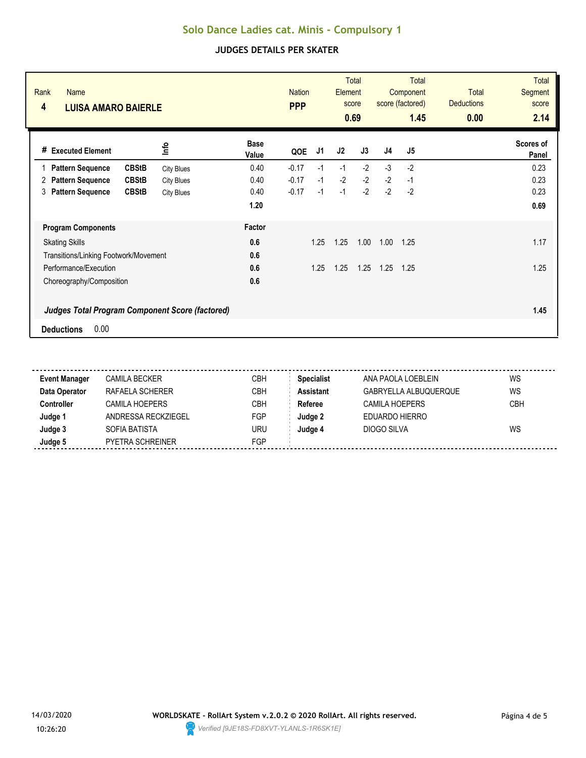| Rank<br><b>Name</b><br>4<br><b>LUISA AMARO BAIERLE</b> |                   |                      | <b>Nation</b><br><b>PPP</b> |      | Element | <b>Total</b><br>score<br>0.69 |      | <b>Total</b><br>Component<br>score (factored)<br>1.45 | <b>Total</b><br><b>Deductions</b><br>0.00 | <b>Total</b><br>Segment<br>score<br>2.14 |
|--------------------------------------------------------|-------------------|----------------------|-----------------------------|------|---------|-------------------------------|------|-------------------------------------------------------|-------------------------------------------|------------------------------------------|
| # Executed Element                                     | ٩ų                | <b>Base</b><br>Value | QOE                         | J1   | J2      | J3                            | J4   | J5                                                    |                                           | Scores of<br>Panel                       |
| <b>CBStB</b><br><b>Pattern Sequence</b>                | <b>City Blues</b> | 0.40                 | $-0.17$                     | $-1$ | $-1$    | $-2$                          | $-3$ | $-2$                                                  |                                           | 0.23                                     |
| <b>CBStB</b><br><b>Pattern Sequence</b><br>2           | <b>City Blues</b> | 0.40                 | $-0.17$                     | $-1$ | $-2$    | $-2$                          | $-2$ | $-1$                                                  |                                           | 0.23                                     |
| <b>Pattern Sequence</b><br><b>CBStB</b><br>3           | <b>City Blues</b> | 0.40                 | $-0.17$                     | $-1$ | $-1$    | $-2$                          | $-2$ | $-2$                                                  |                                           | 0.23                                     |
|                                                        |                   | 1.20                 |                             |      |         |                               |      |                                                       |                                           | 0.69                                     |
| <b>Program Components</b>                              |                   | Factor               |                             |      |         |                               |      |                                                       |                                           |                                          |
| <b>Skating Skills</b>                                  |                   | 0.6                  |                             | 1.25 | 1.25    | 1.00                          | 1.00 | 1.25                                                  |                                           | 1.17                                     |
| Transitions/Linking Footwork/Movement                  |                   | 0.6                  |                             |      |         |                               |      |                                                       |                                           |                                          |
| Performance/Execution                                  |                   | 0.6                  |                             | 1.25 | 1.25    | 1.25                          | 1.25 | 1.25                                                  |                                           | 1.25                                     |
| Choreography/Composition                               |                   | 0.6                  |                             |      |         |                               |      |                                                       |                                           |                                          |
| <b>Judges Total Program Component Score (factored)</b> |                   |                      |                             |      |         |                               |      |                                                       |                                           | 1.45                                     |
| 0.00<br><b>Deductions</b>                              |                   |                      |                             |      |         |                               |      |                                                       |                                           |                                          |

| <b>Event Manager</b> | <b>CAMILA BECKER</b>  | CBH | <b>Specialist</b> | ANA PAOLA LOEBLEIN    | WS         |
|----------------------|-----------------------|-----|-------------------|-----------------------|------------|
| Data Operator        | RAFAELA SCHERER       | СВН | <b>Assistant</b>  | GABRYELLA ALBUQUERQUE | WS         |
| Controller           | <b>CAMILA HOEPERS</b> | СВН | Referee           | CAMILA HOEPERS        | <b>CBH</b> |
| Judge '              | ANDRESSA RECKZIEGEL   | FGP | Judge 2           | EDUARDO HIERRO        |            |
| Judge 3              | SOFIA BATISTA         | uru | Judae 4           | DIOGO SILVA           | WS         |
| Judge 5              | PYETRA SCHREINER      | FGP |                   |                       |            |
|                      |                       |     |                   |                       |            |